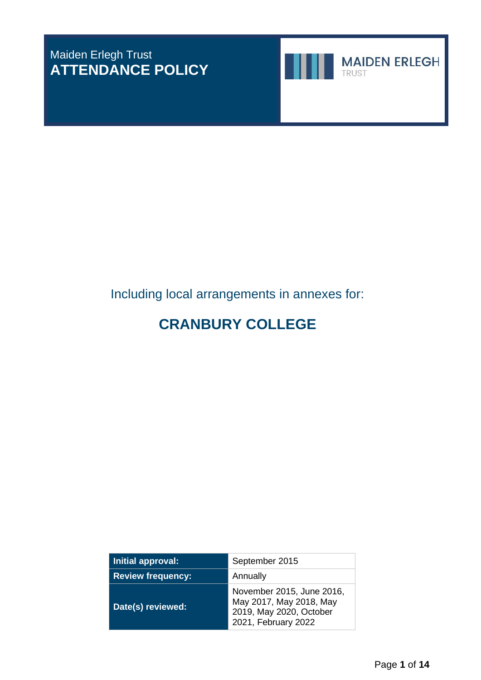# Maiden Erlegh Trust **ATTENDANCE POLICY**



**MAIDEN ERLEGH** TRUST

# Including local arrangements in annexes for:

# **CRANBURY COLLEGE**

| Initial approval:        | September 2015                                                                                         |  |  |  |
|--------------------------|--------------------------------------------------------------------------------------------------------|--|--|--|
| <b>Review frequency:</b> | Annually                                                                                               |  |  |  |
| Date(s) reviewed:        | November 2015, June 2016,<br>May 2017, May 2018, May<br>2019, May 2020, October<br>2021, February 2022 |  |  |  |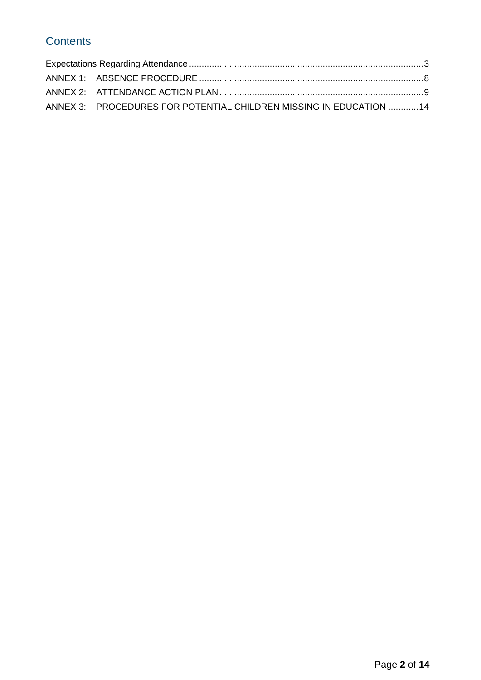# **Contents**

| ANNEX 3: PROCEDURES FOR POTENTIAL CHILDREN MISSING IN EDUCATION 14 |  |
|--------------------------------------------------------------------|--|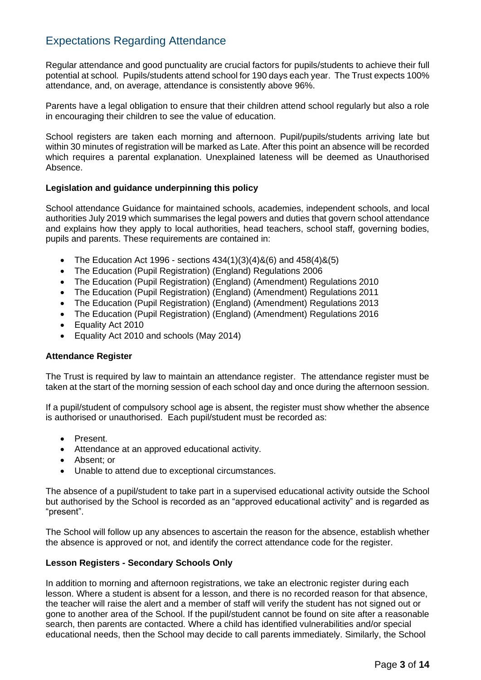# <span id="page-2-0"></span>Expectations Regarding Attendance

Regular attendance and good punctuality are crucial factors for pupils/students to achieve their full potential at school*.* Pupils/students attend school for 190 days each year. The Trust expects 100% attendance, and, on average, attendance is consistently above 96%.

Parents have a legal obligation to ensure that their children attend school regularly but also a role in encouraging their children to see the value of education.

School registers are taken each morning and afternoon. Pupil/pupils/students arriving late but within 30 minutes of registration will be marked as Late. After this point an absence will be recorded which requires a parental explanation. Unexplained lateness will be deemed as Unauthorised Absence.

# **Legislation and guidance underpinning this policy**

School attendance Guidance for maintained schools, academies, independent schools, and local authorities July 2019 which summarises the legal powers and duties that govern school attendance and explains how they apply to local authorities, head teachers, school staff, governing bodies, pupils and parents. These requirements are contained in:

- The Education Act 1996 sections  $434(1)(3)(4)8(6)$  and  $458(4)8(5)$
- The Education (Pupil Registration) (England) Regulations 2006
- The Education (Pupil Registration) (England) (Amendment) Regulations 2010
- The Education (Pupil Registration) (England) (Amendment) Regulations 2011
- The Education (Pupil Registration) (England) (Amendment) Regulations 2013
- The Education (Pupil Registration) (England) (Amendment) Regulations 2016
- Equality Act 2010
- Equality Act 2010 and schools (May 2014)

# **Attendance Register**

The Trust is required by law to maintain an attendance register. The attendance register must be taken at the start of the morning session of each school day and once during the afternoon session.

If a pupil/student of compulsory school age is absent, the register must show whether the absence is authorised or unauthorised. Each pupil/student must be recorded as:

- Present.
- Attendance at an approved educational activity.
- Absent; or
- Unable to attend due to exceptional circumstances.

The absence of a pupil/student to take part in a supervised educational activity outside the School but authorised by the School is recorded as an "approved educational activity" and is regarded as "present".

The School will follow up any absences to ascertain the reason for the absence, establish whether the absence is approved or not, and identify the correct attendance code for the register.

# **Lesson Registers - Secondary Schools Only**

In addition to morning and afternoon registrations, we take an electronic register during each lesson. Where a student is absent for a lesson, and there is no recorded reason for that absence, the teacher will raise the alert and a member of staff will verify the student has not signed out or gone to another area of the School. If the pupil/student cannot be found on site after a reasonable search, then parents are contacted. Where a child has identified vulnerabilities and/or special educational needs, then the School may decide to call parents immediately. Similarly, the School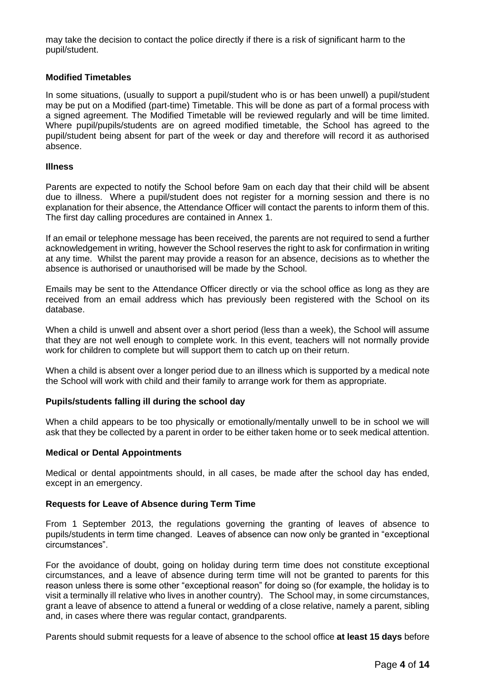may take the decision to contact the police directly if there is a risk of significant harm to the pupil/student.

### **Modified Timetables**

In some situations, (usually to support a pupil/student who is or has been unwell) a pupil/student may be put on a Modified (part-time) Timetable. This will be done as part of a formal process with a signed agreement. The Modified Timetable will be reviewed regularly and will be time limited. Where pupil/pupils/students are on agreed modified timetable, the School has agreed to the pupil/student being absent for part of the week or day and therefore will record it as authorised absence.

#### **Illness**

Parents are expected to notify the School before 9am on each day that their child will be absent due to illness. Where a pupil/student does not register for a morning session and there is no explanation for their absence, the Attendance Officer will contact the parents to inform them of this. The first day calling procedures are contained in Annex 1.

If an email or telephone message has been received, the parents are not required to send a further acknowledgement in writing, however the School reserves the right to ask for confirmation in writing at any time. Whilst the parent may provide a reason for an absence, decisions as to whether the absence is authorised or unauthorised will be made by the School.

Emails may be sent to the Attendance Officer directly or via the school office as long as they are received from an email address which has previously been registered with the School on its database.

When a child is unwell and absent over a short period (less than a week), the School will assume that they are not well enough to complete work. In this event, teachers will not normally provide work for children to complete but will support them to catch up on their return.

When a child is absent over a longer period due to an illness which is supported by a medical note the School will work with child and their family to arrange work for them as appropriate.

#### **Pupils/students falling ill during the school day**

When a child appears to be too physically or emotionally/mentally unwell to be in school we will ask that they be collected by a parent in order to be either taken home or to seek medical attention.

#### **Medical or Dental Appointments**

Medical or dental appointments should, in all cases, be made after the school day has ended, except in an emergency.

#### **Requests for Leave of Absence during Term Time**

From 1 September 2013, the regulations governing the granting of leaves of absence to pupils/students in term time changed. Leaves of absence can now only be granted in "exceptional circumstances".

For the avoidance of doubt, going on holiday during term time does not constitute exceptional circumstances, and a leave of absence during term time will not be granted to parents for this reason unless there is some other "exceptional reason" for doing so (for example, the holiday is to visit a terminally ill relative who lives in another country). The School may, in some circumstances, grant a leave of absence to attend a funeral or wedding of a close relative, namely a parent, sibling and, in cases where there was regular contact, grandparents.

Parents should submit requests for a leave of absence to the school office **at least 15 days** before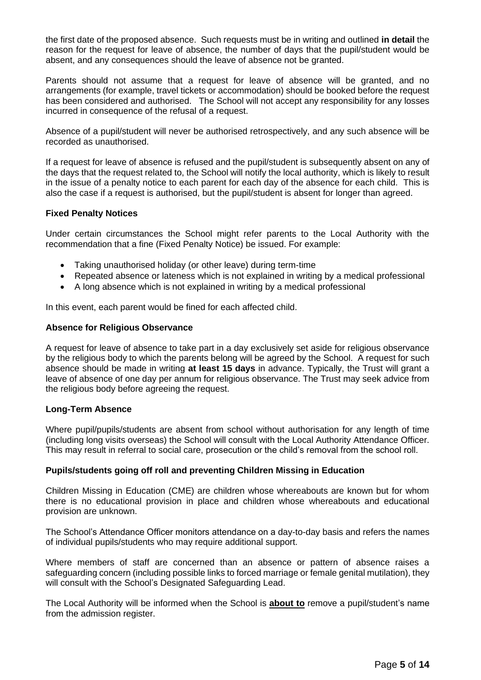the first date of the proposed absence. Such requests must be in writing and outlined **in detail** the reason for the request for leave of absence, the number of days that the pupil/student would be absent, and any consequences should the leave of absence not be granted.

Parents should not assume that a request for leave of absence will be granted, and no arrangements (for example, travel tickets or accommodation) should be booked before the request has been considered and authorised. The School will not accept any responsibility for any losses incurred in consequence of the refusal of a request.

Absence of a pupil/student will never be authorised retrospectively, and any such absence will be recorded as unauthorised.

If a request for leave of absence is refused and the pupil/student is subsequently absent on any of the days that the request related to, the School will notify the local authority, which is likely to result in the issue of a penalty notice to each parent for each day of the absence for each child. This is also the case if a request is authorised, but the pupil/student is absent for longer than agreed.

# **Fixed Penalty Notices**

Under certain circumstances the School might refer parents to the Local Authority with the recommendation that a fine (Fixed Penalty Notice) be issued. For example:

- Taking unauthorised holiday (or other leave) during term-time
- Repeated absence or lateness which is not explained in writing by a medical professional
- A long absence which is not explained in writing by a medical professional

In this event, each parent would be fined for each affected child.

### **Absence for Religious Observance**

A request for leave of absence to take part in a day exclusively set aside for religious observance by the religious body to which the parents belong will be agreed by the School. A request for such absence should be made in writing **at least 15 days** in advance. Typically, the Trust will grant a leave of absence of one day per annum for religious observance. The Trust may seek advice from the religious body before agreeing the request.

# **Long-Term Absence**

Where pupil/pupils/students are absent from school without authorisation for any length of time (including long visits overseas) the School will consult with the Local Authority Attendance Officer. This may result in referral to social care, prosecution or the child's removal from the school roll.

#### **Pupils/students going off roll and preventing Children Missing in Education**

Children Missing in Education (CME) are children whose whereabouts are known but for whom there is no educational provision in place and children whose whereabouts and educational provision are unknown.

The School's Attendance Officer monitors attendance on a day-to-day basis and refers the names of individual pupils/students who may require additional support.

Where members of staff are concerned than an absence or pattern of absence raises a safeguarding concern (including possible links to forced marriage or female genital mutilation), they will consult with the School's Designated Safeguarding Lead.

The Local Authority will be informed when the School is **about to** remove a pupil/student's name from the admission register.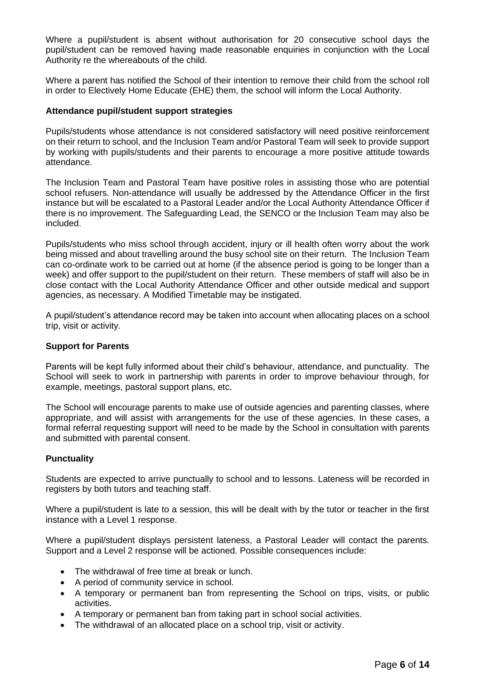Where a pupil/student is absent without authorisation for 20 consecutive school days the pupil/student can be removed having made reasonable enquiries in conjunction with the Local Authority re the whereabouts of the child.

Where a parent has notified the School of their intention to remove their child from the school roll in order to Electively Home Educate (EHE) them, the school will inform the Local Authority.

### **Attendance pupil/student support strategies**

Pupils/students whose attendance is not considered satisfactory will need positive reinforcement on their return to school, and the Inclusion Team and/or Pastoral Team will seek to provide support by working with pupils/students and their parents to encourage a more positive attitude towards attendance.

The Inclusion Team and Pastoral Team have positive roles in assisting those who are potential school refusers. Non-attendance will usually be addressed by the Attendance Officer in the first instance but will be escalated to a Pastoral Leader and/or the Local Authority Attendance Officer if there is no improvement. The Safeguarding Lead, the SENCO or the Inclusion Team may also be included.

Pupils/students who miss school through accident, injury or ill health often worry about the work being missed and about travelling around the busy school site on their return. The Inclusion Team can co-ordinate work to be carried out at home (if the absence period is going to be longer than a week) and offer support to the pupil/student on their return. These members of staff will also be in close contact with the Local Authority Attendance Officer and other outside medical and support agencies, as necessary. A Modified Timetable may be instigated.

A pupil/student's attendance record may be taken into account when allocating places on a school trip, visit or activity.

# **Support for Parents**

Parents will be kept fully informed about their child's behaviour, attendance, and punctuality. The School will seek to work in partnership with parents in order to improve behaviour through, for example, meetings, pastoral support plans, etc.

The School will encourage parents to make use of outside agencies and parenting classes, where appropriate, and will assist with arrangements for the use of these agencies. In these cases, a formal referral requesting support will need to be made by the School in consultation with parents and submitted with parental consent.

#### **Punctuality**

Students are expected to arrive punctually to school and to lessons. Lateness will be recorded in registers by both tutors and teaching staff.

Where a pupil/student is late to a session, this will be dealt with by the tutor or teacher in the first instance with a Level 1 response.

Where a pupil/student displays persistent lateness, a Pastoral Leader will contact the parents. Support and a Level 2 response will be actioned. Possible consequences include:

- The withdrawal of free time at break or lunch.
- A period of community service in school.
- A temporary or permanent ban from representing the School on trips, visits, or public activities.
- A temporary or permanent ban from taking part in school social activities.
- The withdrawal of an allocated place on a school trip, visit or activity.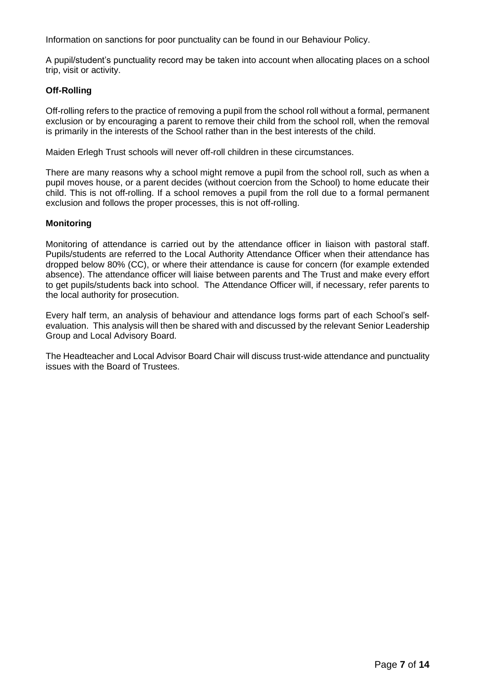Information on sanctions for poor punctuality can be found in our Behaviour Policy.

A pupil/student's punctuality record may be taken into account when allocating places on a school trip, visit or activity.

# **Off-Rolling**

Off-rolling refers to the practice of removing a pupil from the school roll without a formal, permanent exclusion or by encouraging a parent to remove their child from the school roll, when the removal is primarily in the interests of the School rather than in the best interests of the child.

Maiden Erlegh Trust schools will never off-roll children in these circumstances.

There are many reasons why a school might remove a pupil from the school roll, such as when a pupil moves house, or a parent decides (without coercion from the School) to home educate their child. This is not off-rolling. If a school removes a pupil from the roll due to a formal permanent exclusion and follows the proper processes, this is not off-rolling.

### **Monitoring**

Monitoring of attendance is carried out by the attendance officer in liaison with pastoral staff. Pupils/students are referred to the Local Authority Attendance Officer when their attendance has dropped below 80% (CC), or where their attendance is cause for concern (for example extended absence). The attendance officer will liaise between parents and The Trust and make every effort to get pupils/students back into school. The Attendance Officer will, if necessary, refer parents to the local authority for prosecution.

Every half term, an analysis of behaviour and attendance logs forms part of each School's selfevaluation. This analysis will then be shared with and discussed by the relevant Senior Leadership Group and Local Advisory Board.

The Headteacher and Local Advisor Board Chair will discuss trust-wide attendance and punctuality issues with the Board of Trustees.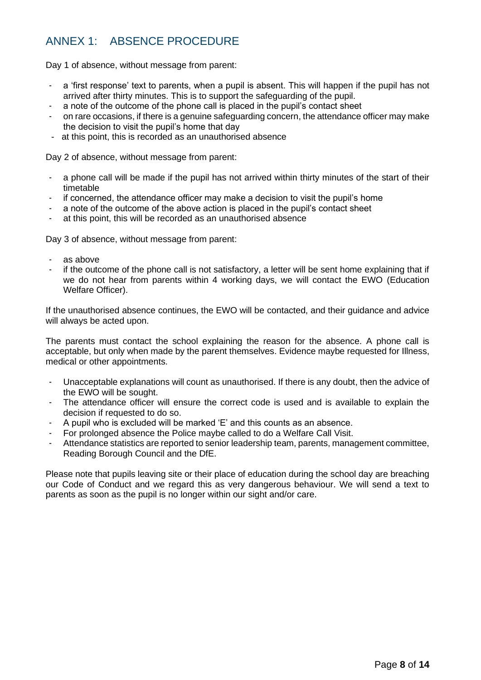# <span id="page-7-0"></span>ANNEX 1: ABSENCE PROCEDURE

Day 1 of absence, without message from parent:

- a 'first response' text to parents, when a pupil is absent. This will happen if the pupil has not arrived after thirty minutes. This is to support the safeguarding of the pupil.
- a note of the outcome of the phone call is placed in the pupil's contact sheet
- on rare occasions, if there is a genuine safeguarding concern, the attendance officer may make the decision to visit the pupil's home that day
- at this point, this is recorded as an unauthorised absence

Day 2 of absence, without message from parent:

- a phone call will be made if the pupil has not arrived within thirty minutes of the start of their timetable
- if concerned, the attendance officer may make a decision to visit the pupil's home
- a note of the outcome of the above action is placed in the pupil's contact sheet
- at this point, this will be recorded as an unauthorised absence

Day 3 of absence, without message from parent:

- as above
- if the outcome of the phone call is not satisfactory, a letter will be sent home explaining that if we do not hear from parents within 4 working days, we will contact the EWO (Education Welfare Officer).

If the unauthorised absence continues, the EWO will be contacted, and their guidance and advice will always be acted upon.

The parents must contact the school explaining the reason for the absence. A phone call is acceptable, but only when made by the parent themselves. Evidence maybe requested for Illness, medical or other appointments.

- Unacceptable explanations will count as unauthorised. If there is any doubt, then the advice of the EWO will be sought.
- The attendance officer will ensure the correct code is used and is available to explain the decision if requested to do so.
- A pupil who is excluded will be marked 'E' and this counts as an absence.
- For prolonged absence the Police maybe called to do a Welfare Call Visit.
- Attendance statistics are reported to senior leadership team, parents, management committee, Reading Borough Council and the DfE.

Please note that pupils leaving site or their place of education during the school day are breaching our Code of Conduct and we regard this as very dangerous behaviour. We will send a text to parents as soon as the pupil is no longer within our sight and/or care.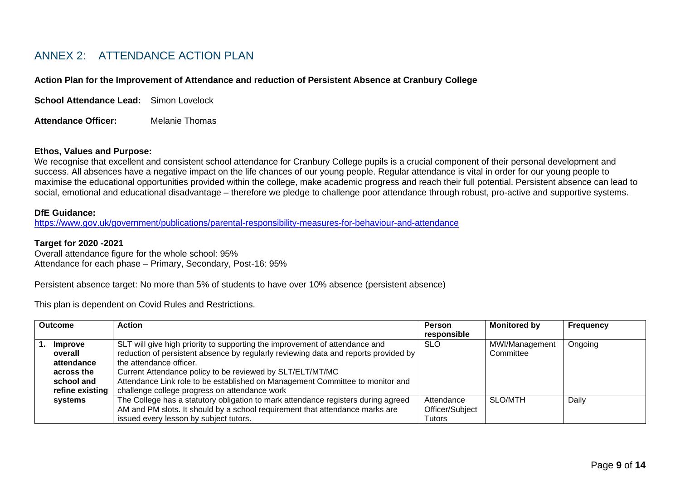# ANNEX 2: ATTENDANCE ACTION PLAN

#### **Action Plan for the Improvement of Attendance and reduction of Persistent Absence at Cranbury College**

**School Attendance Lead:** Simon Lovelock

**Attendance Officer:** Melanie Thomas

#### **Ethos, Values and Purpose:**

We recognise that excellent and consistent school attendance for Cranbury College pupils is a crucial component of their personal development and success. All absences have a negative impact on the life chances of our young people. Regular attendance is vital in order for our young people to maximise the educational opportunities provided within the college, make academic progress and reach their full potential. Persistent absence can lead to social, emotional and educational disadvantage – therefore we pledge to challenge poor attendance through robust, pro-active and supportive systems.

#### **DfE Guidance:**

<https://www.gov.uk/government/publications/parental-responsibility-measures-for-behaviour-and-attendance>

#### **Target for 2020 -2021**

<span id="page-8-0"></span>Overall attendance figure for the whole school: 95% Attendance for each phase – Primary, Secondary, Post-16: 95%

Persistent absence target: No more than 5% of students to have over 10% absence (persistent absence)

This plan is dependent on Covid Rules and Restrictions.

| <b>Outcome</b> |                                                                                 | <b>Action</b>                                                                                                                                                                                                                                                                                                                                                                                | <b>Person</b><br>responsible                   | <b>Monitored by</b>         | <b>Frequency</b> |
|----------------|---------------------------------------------------------------------------------|----------------------------------------------------------------------------------------------------------------------------------------------------------------------------------------------------------------------------------------------------------------------------------------------------------------------------------------------------------------------------------------------|------------------------------------------------|-----------------------------|------------------|
| ъ.             | Improve<br>overall<br>attendance<br>across the<br>school and<br>refine existing | SLT will give high priority to supporting the improvement of attendance and<br>reduction of persistent absence by regularly reviewing data and reports provided by<br>the attendance officer.<br>Current Attendance policy to be reviewed by SLT/ELT/MT/MC<br>Attendance Link role to be established on Management Committee to monitor and<br>challenge college progress on attendance work | <b>SLO</b>                                     | MWI/Management<br>Committee | Ongoing          |
|                | systems                                                                         | The College has a statutory obligation to mark attendance registers during agreed<br>AM and PM slots. It should by a school requirement that attendance marks are<br>issued every lesson by subject tutors.                                                                                                                                                                                  | Attendance<br>Officer/Subject<br><b>Tutors</b> | SLO/MTH                     | Daily            |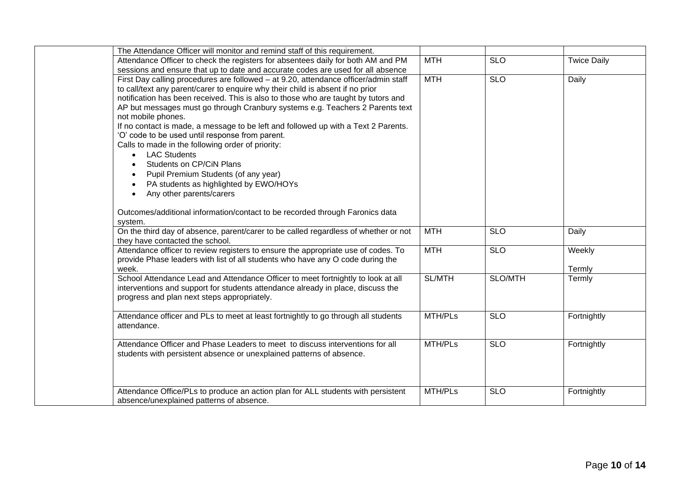| The Attendance Officer will monitor and remind staff of this requirement.           |               |            |                    |  |
|-------------------------------------------------------------------------------------|---------------|------------|--------------------|--|
| Attendance Officer to check the registers for absentees daily for both AM and PM    | <b>MTH</b>    | <b>SLO</b> | <b>Twice Daily</b> |  |
| sessions and ensure that up to date and accurate codes are used for all absence     |               |            |                    |  |
| First Day calling procedures are followed - at 9.20, attendance officer/admin staff | <b>MTH</b>    | <b>SLO</b> | Daily              |  |
| to call/text any parent/carer to enquire why their child is absent if no prior      |               |            |                    |  |
| notification has been received. This is also to those who are taught by tutors and  |               |            |                    |  |
| AP but messages must go through Cranbury systems e.g. Teachers 2 Parents text       |               |            |                    |  |
| not mobile phones.                                                                  |               |            |                    |  |
| If no contact is made, a message to be left and followed up with a Text 2 Parents.  |               |            |                    |  |
| 'O' code to be used until response from parent.                                     |               |            |                    |  |
| Calls to made in the following order of priority:                                   |               |            |                    |  |
| <b>LAC Students</b>                                                                 |               |            |                    |  |
| Students on CP/CiN Plans                                                            |               |            |                    |  |
| Pupil Premium Students (of any year)                                                |               |            |                    |  |
| PA students as highlighted by EWO/HOYs                                              |               |            |                    |  |
| Any other parents/carers                                                            |               |            |                    |  |
|                                                                                     |               |            |                    |  |
| Outcomes/additional information/contact to be recorded through Faronics data        |               |            |                    |  |
| system.                                                                             |               |            |                    |  |
| On the third day of absence, parent/carer to be called regardless of whether or not | <b>MTH</b>    | <b>SLO</b> | Daily              |  |
| they have contacted the school.                                                     |               |            |                    |  |
| Attendance officer to review registers to ensure the appropriate use of codes. To   | <b>MTH</b>    | <b>SLO</b> | Weekly             |  |
| provide Phase leaders with list of all students who have any O code during the      |               |            |                    |  |
| week.                                                                               |               |            | Termly             |  |
| School Attendance Lead and Attendance Officer to meet fortnightly to look at all    | <b>SL/MTH</b> | SLO/MTH    | Termly             |  |
| interventions and support for students attendance already in place, discuss the     |               |            |                    |  |
| progress and plan next steps appropriately.                                         |               |            |                    |  |
|                                                                                     |               |            |                    |  |
| Attendance officer and PLs to meet at least fortnightly to go through all students  | MTH/PLs       | <b>SLO</b> | Fortnightly        |  |
| attendance.                                                                         |               |            |                    |  |
|                                                                                     |               |            |                    |  |
| Attendance Officer and Phase Leaders to meet to discuss interventions for all       | MTH/PLs       | <b>SLO</b> | Fortnightly        |  |
| students with persistent absence or unexplained patterns of absence.                |               |            |                    |  |
|                                                                                     |               |            |                    |  |
|                                                                                     |               |            |                    |  |
|                                                                                     |               |            |                    |  |
| Attendance Office/PLs to produce an action plan for ALL students with persistent    | MTH/PLs       | <b>SLO</b> | Fortnightly        |  |
| absence/unexplained patterns of absence.                                            |               |            |                    |  |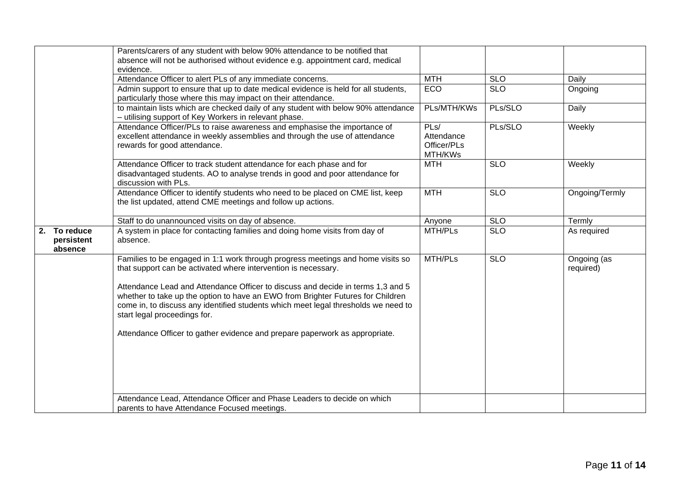|                                          | Parents/carers of any student with below 90% attendance to be notified that<br>absence will not be authorised without evidence e.g. appointment card, medical<br>evidence.                                                                                                               |                                              |                  |                          |
|------------------------------------------|------------------------------------------------------------------------------------------------------------------------------------------------------------------------------------------------------------------------------------------------------------------------------------------|----------------------------------------------|------------------|--------------------------|
|                                          | Attendance Officer to alert PLs of any immediate concerns.                                                                                                                                                                                                                               | <b>MTH</b>                                   | <b>SLO</b>       | Daily                    |
|                                          | Admin support to ensure that up to date medical evidence is held for all students,<br>particularly those where this may impact on their attendance.                                                                                                                                      | ECO                                          | $\overline{SLO}$ | Ongoing                  |
|                                          | to maintain lists which are checked daily of any student with below 90% attendance<br>- utilising support of Key Workers in relevant phase.                                                                                                                                              | PLs/MTH/KWs                                  | PLs/SLO          | Daily                    |
|                                          | Attendance Officer/PLs to raise awareness and emphasise the importance of<br>excellent attendance in weekly assemblies and through the use of attendance<br>rewards for good attendance.                                                                                                 | PLs/<br>Attendance<br>Officer/PLs<br>MTH/KWs | PLs/SLO          | Weekly                   |
|                                          | Attendance Officer to track student attendance for each phase and for<br>disadvantaged students. AO to analyse trends in good and poor attendance for<br>discussion with PLs.                                                                                                            | <b>MTH</b>                                   | <b>SLO</b>       | Weekly                   |
|                                          | Attendance Officer to identify students who need to be placed on CME list, keep<br>the list updated, attend CME meetings and follow up actions.                                                                                                                                          | <b>MTH</b>                                   | <b>SLO</b>       | Ongoing/Termly           |
|                                          | Staff to do unannounced visits on day of absence.                                                                                                                                                                                                                                        | Anyone                                       | <b>SLO</b>       | Termly                   |
| To reduce<br>2.<br>persistent<br>absence | A system in place for contacting families and doing home visits from day of<br>absence.                                                                                                                                                                                                  | MTH/PLs                                      | <b>SLO</b>       | As required              |
|                                          | Families to be engaged in 1:1 work through progress meetings and home visits so<br>that support can be activated where intervention is necessary.                                                                                                                                        | MTH/PLs                                      | $\overline{SLO}$ | Ongoing (as<br>required) |
|                                          | Attendance Lead and Attendance Officer to discuss and decide in terms 1,3 and 5<br>whether to take up the option to have an EWO from Brighter Futures for Children<br>come in, to discuss any identified students which meet legal thresholds we need to<br>start legal proceedings for. |                                              |                  |                          |
|                                          | Attendance Officer to gather evidence and prepare paperwork as appropriate.                                                                                                                                                                                                              |                                              |                  |                          |
|                                          | Attendance Lead, Attendance Officer and Phase Leaders to decide on which<br>parents to have Attendance Focused meetings.                                                                                                                                                                 |                                              |                  |                          |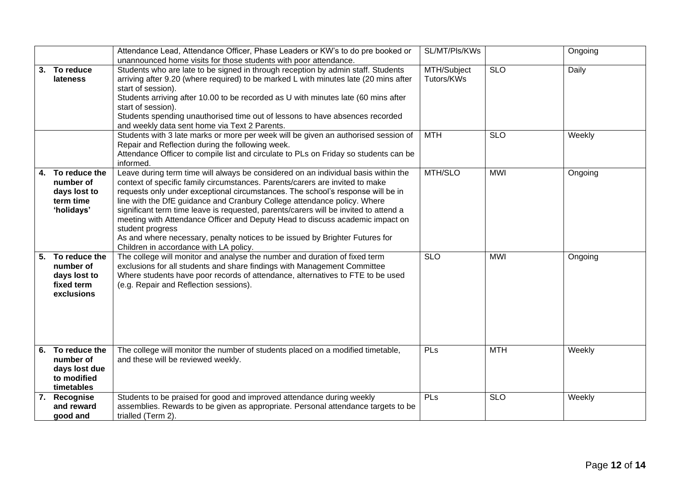|    |                                                                           | Attendance Lead, Attendance Officer, Phase Leaders or KW's to do pre booked or<br>unannounced home visits for those students with poor attendance.                                                                                                                                                                                                                                                                                                                                                                                                                                                                                                       | SL/MT/Pls/KWs             |            | Ongoing |
|----|---------------------------------------------------------------------------|----------------------------------------------------------------------------------------------------------------------------------------------------------------------------------------------------------------------------------------------------------------------------------------------------------------------------------------------------------------------------------------------------------------------------------------------------------------------------------------------------------------------------------------------------------------------------------------------------------------------------------------------------------|---------------------------|------------|---------|
|    | 3. To reduce<br>lateness                                                  | Students who are late to be signed in through reception by admin staff. Students<br>arriving after 9.20 (where required) to be marked L with minutes late (20 mins after<br>start of session).<br>Students arriving after 10.00 to be recorded as U with minutes late (60 mins after<br>start of session).<br>Students spending unauthorised time out of lessons to have absences recorded<br>and weekly data sent home via Text 2 Parents.                                                                                                                                                                                                              | MTH/Subject<br>Tutors/KWs | <b>SLO</b> | Daily   |
|    |                                                                           | Students with 3 late marks or more per week will be given an authorised session of<br>Repair and Reflection during the following week.<br>Attendance Officer to compile list and circulate to PLs on Friday so students can be<br>informed.                                                                                                                                                                                                                                                                                                                                                                                                              | <b>MTH</b>                | <b>SLO</b> | Weekly  |
| 4. | To reduce the<br>number of<br>days lost to<br>term time<br>'holidays'     | Leave during term time will always be considered on an individual basis within the<br>context of specific family circumstances. Parents/carers are invited to make<br>requests only under exceptional circumstances. The school's response will be in<br>line with the DfE guidance and Cranbury College attendance policy. Where<br>significant term time leave is requested, parents/carers will be invited to attend a<br>meeting with Attendance Officer and Deputy Head to discuss academic impact on<br>student progress<br>As and where necessary, penalty notices to be issued by Brighter Futures for<br>Children in accordance with LA policy. | MTH/SLO                   | <b>MWI</b> | Ongoing |
|    | 5. To reduce the<br>number of<br>days lost to<br>fixed term<br>exclusions | The college will monitor and analyse the number and duration of fixed term<br>exclusions for all students and share findings with Management Committee<br>Where students have poor records of attendance, alternatives to FTE to be used<br>(e.g. Repair and Reflection sessions).                                                                                                                                                                                                                                                                                                                                                                       | <b>SLO</b>                | <b>MWI</b> | Ongoing |
| 6. | To reduce the<br>number of<br>days lost due<br>to modified<br>timetables  | The college will monitor the number of students placed on a modified timetable,<br>and these will be reviewed weekly.                                                                                                                                                                                                                                                                                                                                                                                                                                                                                                                                    | PLs                       | <b>MTH</b> | Weekly  |
|    | 7. Recognise<br>and reward<br>good and                                    | Students to be praised for good and improved attendance during weekly<br>assemblies. Rewards to be given as appropriate. Personal attendance targets to be<br>trialled (Term 2).                                                                                                                                                                                                                                                                                                                                                                                                                                                                         | PLs                       | <b>SLO</b> | Weekly  |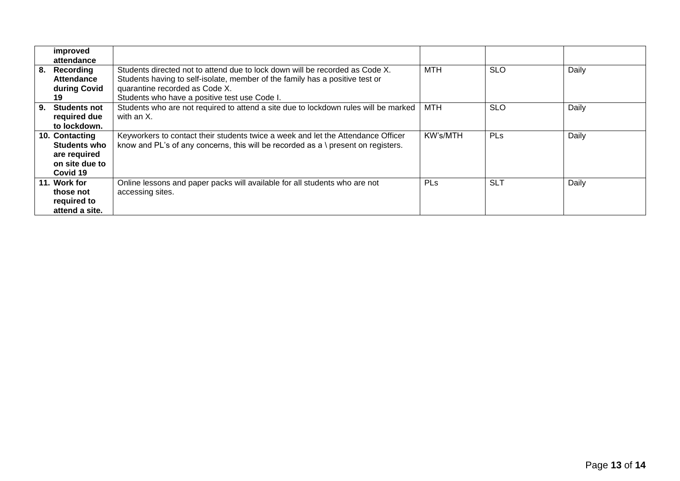|    | improved            |                                                                                     |            |            |       |
|----|---------------------|-------------------------------------------------------------------------------------|------------|------------|-------|
|    | attendance          |                                                                                     |            |            |       |
|    |                     |                                                                                     |            |            |       |
| 8. | Recording           | Students directed not to attend due to lock down will be recorded as Code X.        | MTH        | <b>SLO</b> | Daily |
|    | <b>Attendance</b>   | Students having to self-isolate, member of the family has a positive test or        |            |            |       |
|    | during Covid        | quarantine recorded as Code X.                                                      |            |            |       |
|    | 19                  | Students who have a positive test use Code I.                                       |            |            |       |
| 9. | <b>Students not</b> | Students who are not required to attend a site due to lockdown rules will be marked | <b>MTH</b> | <b>SLO</b> | Daily |
|    | required due        | with an X.                                                                          |            |            |       |
|    | to lockdown.        |                                                                                     |            |            |       |
|    | 10. Contacting      | Keyworkers to contact their students twice a week and let the Attendance Officer    | KW's/MTH   | <b>PLs</b> | Daily |
|    | <b>Students who</b> | know and PL's of any concerns, this will be recorded as a \ present on registers.   |            |            |       |
|    | are required        |                                                                                     |            |            |       |
|    | on site due to      |                                                                                     |            |            |       |
|    | Covid 19            |                                                                                     |            |            |       |
|    | 11. Work for        | Online lessons and paper packs will available for all students who are not          | <b>PLs</b> | <b>SLT</b> | Daily |
|    | those not           | accessing sites.                                                                    |            |            |       |
|    | required to         |                                                                                     |            |            |       |
|    | attend a site.      |                                                                                     |            |            |       |